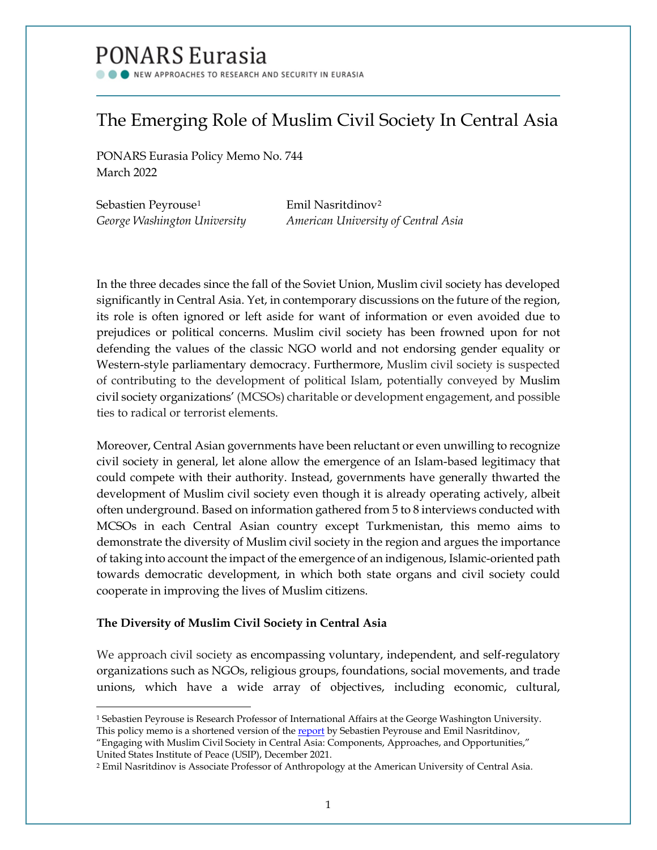# PONARS Eurasia

NEW APPROACHES TO RESEARCH AND SECURITY IN EURASIA

## The Emerging Role of Muslim Civil Society In Central Asia

PONARS Eurasia Policy Memo No. 744 March 2022

Sebastien Peyrouse<sup>[1](#page-0-0)</sup> Emil Nasritdinov<sup>[2](#page-0-1)</sup>

*George Washington University American University of Central Asia*

In the three decades since the fall of the Soviet Union, Muslim civil society has developed significantly in Central Asia. Yet, in contemporary discussions on the future of the region, its role is often ignored or left aside for want of information or even avoided due to prejudices or political concerns. Muslim civil society has been frowned upon for not defending the values of the classic NGO world and not endorsing gender equality or Western-style parliamentary democracy. Furthermore, Muslim civil society is suspected of contributing to the development of political Islam, potentially conveyed by Muslim civil society organizations' (MCSOs) charitable or development engagement, and possible ties to radical or terrorist elements.

Moreover, Central Asian governments have been reluctant or even unwilling to recognize civil society in general, let alone allow the emergence of an Islam-based legitimacy that could compete with their authority. Instead, governments have generally thwarted the development of Muslim civil society even though it is already operating actively, albeit often underground. Based on information gathered from 5 to 8 interviews conducted with MCSOs in each Central Asian country except Turkmenistan, this memo aims to demonstrate the diversity of Muslim civil society in the region and argues the importance of taking into account the impact of the emergence of an indigenous, Islamic-oriented path towards democratic development, in which both state organs and civil society could cooperate in improving the lives of Muslim citizens.

### **The Diversity of Muslim Civil Society in Central Asia**

 $\overline{\phantom{a}}$ 

We approach civil society as encompassing voluntary, independent, and self-regulatory organizations such as NGOs, religious groups, foundations, social movements, and trade unions, which have a wide array of objectives, including economic, cultural,

<span id="page-0-0"></span><sup>1</sup> Sebastien Peyrouse is Research Professor of International Affairs at the George Washington University. This policy memo is a shortened version of the [report](https://www.usip.org/publications/2021/12/engaging-muslim-civil-society-central-asia-components-approaches-and) by Sebastien Peyrouse and Emil Nasritdinov,

<sup>&</sup>quot;Engaging with Muslim Civil Society in Central Asia: Components, Approaches, and Opportunities," United States Institute of Peace (USIP), December 2021.

<span id="page-0-1"></span><sup>2</sup> Emil Nasritdinov is Associate Professor of Anthropology at the American University of Central Asia.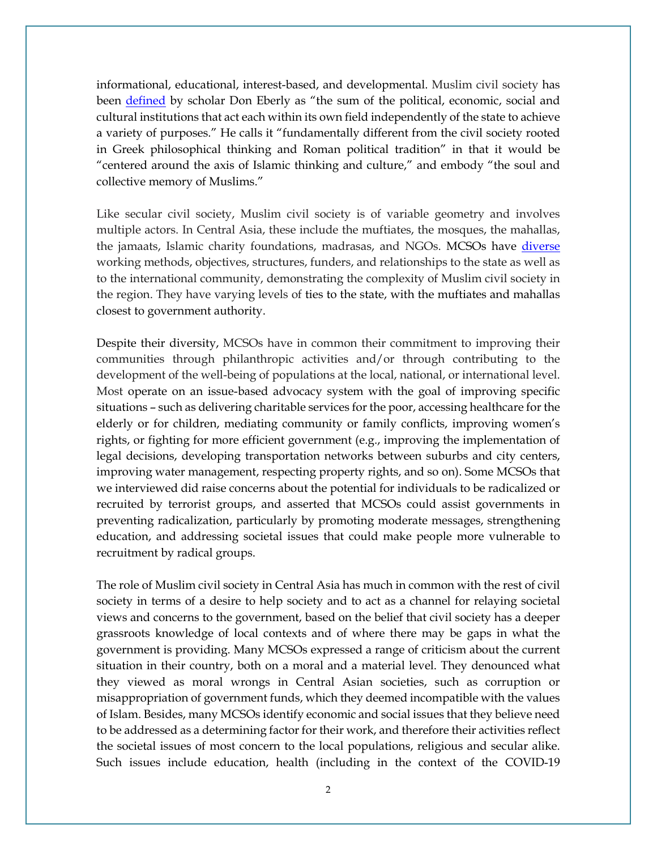informational, educational, interest-based, and developmental. Muslim civil society has been [defined](https://www.amazon.com/Rise-Global-Civil-Society-Communities/dp/1594032149) by scholar Don Eberly as "the sum of the political, economic, social and cultural institutions that act each within its own field independently of the state to achieve a variety of purposes." He calls it "fundamentally different from the civil society rooted in Greek philosophical thinking and Roman political tradition" in that it would be "centered around the axis of Islamic thinking and culture," and embody "the soul and collective memory of Muslims."

Like secular civil society, Muslim civil society is of variable geometry and involves multiple actors. In Central Asia, these include the muftiates, the mosques, the mahallas, the jamaats, Islamic charity foundations, madrasas, and NGOs. MCSOs have [diverse](https://hollingscenter.org/emerging-forms-of-islamic-civil-society-in-central-asia/) working methods, objectives, structures, funders, and relationships to the state as well as to the international community, demonstrating the complexity of Muslim civil society in the region. They have varying levels of ties to the state, with the muftiates and mahallas closest to government authority.

Despite their diversity, MCSOs have in common their commitment to improving their communities through philanthropic activities and/or through contributing to the development of the well-being of populations at the local, national, or international level. Most operate on an issue-based advocacy system with the goal of improving specific situations – such as delivering charitable services for the poor, accessing healthcare for the elderly or for children, mediating community or family conflicts, improving women's rights, or fighting for more efficient government (e.g., improving the implementation of legal decisions, developing transportation networks between suburbs and city centers, improving water management, respecting property rights, and so on). Some MCSOs that we interviewed did raise concerns about the potential for individuals to be radicalized or recruited by terrorist groups, and asserted that MCSOs could assist governments in preventing radicalization, particularly by promoting moderate messages, strengthening education, and addressing societal issues that could make people more vulnerable to recruitment by radical groups.

The role of Muslim civil society in Central Asia has much in common with the rest of civil society in terms of a desire to help society and to act as a channel for relaying societal views and concerns to the government, based on the belief that civil society has a deeper grassroots knowledge of local contexts and of where there may be gaps in what the government is providing. Many MCSOs expressed a range of criticism about the current situation in their country, both on a moral and a material level. They denounced what they viewed as moral wrongs in Central Asian societies, such as corruption or misappropriation of government funds, which they deemed incompatible with the values of Islam. Besides, many MCSOs identify economic and social issues that they believe need to be addressed as a determining factor for their work, and therefore their activities reflect the societal issues of most concern to the local populations, religious and secular alike. Such issues include education, health (including in the context of the COVID-19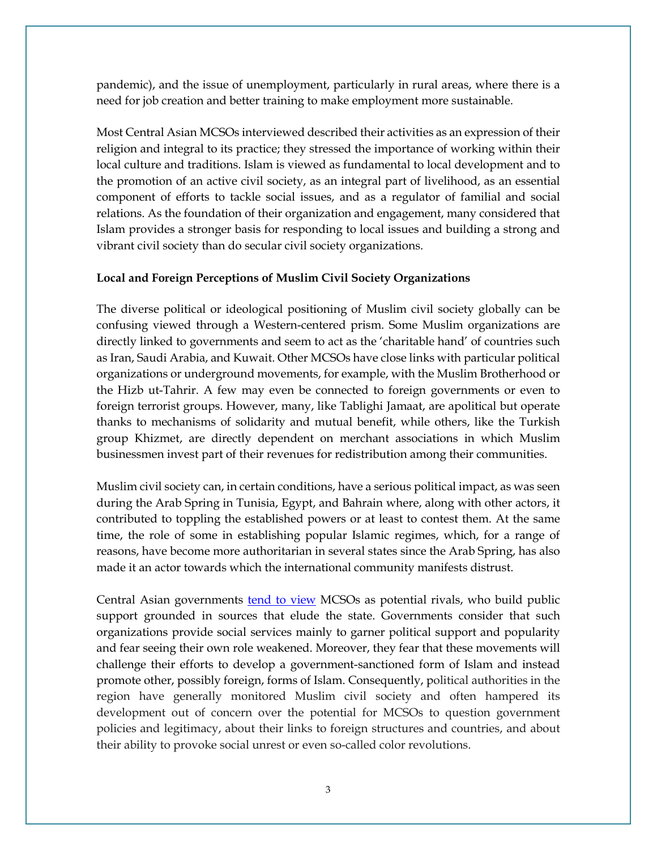pandemic), and the issue of unemployment, particularly in rural areas, where there is a need for job creation and better training to make employment more sustainable.

Most Central Asian MCSOs interviewed described their activities as an expression of their religion and integral to its practice; they stressed the importance of working within their local culture and traditions. Islam is viewed as fundamental to local development and to the promotion of an active civil society, as an integral part of livelihood, as an essential component of efforts to tackle social issues, and as a regulator of familial and social relations. As the foundation of their organization and engagement, many considered that Islam provides a stronger basis for responding to local issues and building a strong and vibrant civil society than do secular civil society organizations.

#### **Local and Foreign Perceptions of Muslim Civil Society Organizations**

The diverse political or ideological positioning of Muslim civil society globally can be confusing viewed through a Western-centered prism. Some Muslim organizations are directly linked to governments and seem to act as the 'charitable hand' of countries such as Iran, Saudi Arabia, and Kuwait. Other MCSOs have close links with particular political organizations or underground movements, for example, with the Muslim Brotherhood or the Hizb ut-Tahrir. A few may even be connected to foreign governments or even to foreign terrorist groups. However, many, like Tablighi Jamaat, are apolitical but operate thanks to mechanisms of solidarity and mutual benefit, while others, like the Turkish group Khizmet, are directly dependent on merchant associations in which Muslim businessmen invest part of their revenues for redistribution among their communities.

Muslim civil society can, in certain conditions, have a serious political impact, as was seen during the Arab Spring in Tunisia, Egypt, and Bahrain where, along with other actors, it contributed to toppling the established powers or at least to contest them. At the same time, the role of some in establishing popular Islamic regimes, which, for a range of reasons, have become more authoritarian in several states since the Arab Spring, has also made it an actor towards which the international community manifests distrust.

Central Asian governments <u>tend to view</u> MCSOs as potential rivals, who build public support grounded in sources that elude the state. Governments consider that such organizations provide social services mainly to garner political support and popularity and fear seeing their own role weakened. Moreover, they fear that these movements will challenge their efforts to develop a government-sanctioned form of Islam and instead promote other, possibly foreign, forms of Islam. Consequently, political authorities in the region have generally monitored Muslim civil society and often hampered its development out of concern over the potential for MCSOs to question government policies and legitimacy, about their links to foreign structures and countries, and about their ability to provoke social unrest or even so-called color revolutions.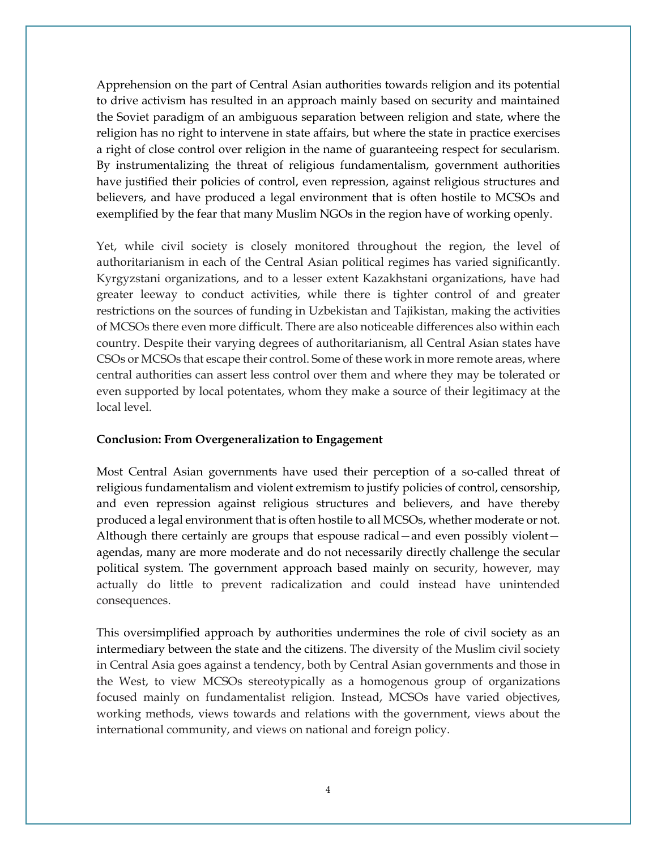Apprehension on the part of Central Asian authorities towards religion and its potential to drive activism has resulted in an approach mainly based on security and maintained the Soviet paradigm of an ambiguous separation between religion and state, where the religion has no right to intervene in state affairs, but where the state in practice exercises a right of close control over religion in the name of guaranteeing respect for secularism. By instrumentalizing the threat of religious fundamentalism, government authorities have justified their policies of control, even repression, against religious structures and believers, and have produced a legal environment that is often hostile to MCSOs and exemplified by the fear that many Muslim NGOs in the region have of working openly.

Yet, while civil society is closely monitored throughout the region, the level of authoritarianism in each of the Central Asian political regimes has varied significantly. Kyrgyzstani organizations, and to a lesser extent Kazakhstani organizations, have had greater leeway to conduct activities, while there is tighter control of and greater restrictions on the sources of funding in Uzbekistan and Tajikistan, making the activities of MCSOs there even more difficult. There are also noticeable differences also within each country. Despite their varying degrees of authoritarianism, all Central Asian states have CSOs or MCSOs that escape their control. Some of these work in more remote areas, where central authorities can assert less control over them and where they may be tolerated or even supported by local potentates, whom they make a source of their legitimacy at the local level.

#### **Conclusion: From Overgeneralization to Engagement**

Most Central Asian governments have used their perception of a so-called threat of religious fundamentalism and violent extremism to justify policies of control, censorship, and even repression against religious structures and believers, and have thereby produced a legal environment that is often hostile to all MCSOs, whether moderate or not. Although there certainly are groups that espouse radical—and even possibly violent agendas, many are more moderate and do not necessarily directly challenge the secular political system. The government approach based mainly on security, however, may actually do little to prevent radicalization and could instead have unintended consequences.

This oversimplified approach by authorities undermines the role of civil society as an intermediary between the state and the citizens. The diversity of the Muslim civil society in Central Asia goes against a tendency, both by Central Asian governments and those in the West, to view MCSOs stereotypically as a homogenous group of organizations focused mainly on fundamentalist religion. Instead, MCSOs have varied objectives, working methods, views towards and relations with the government, views about the international community, and views on national and foreign policy.